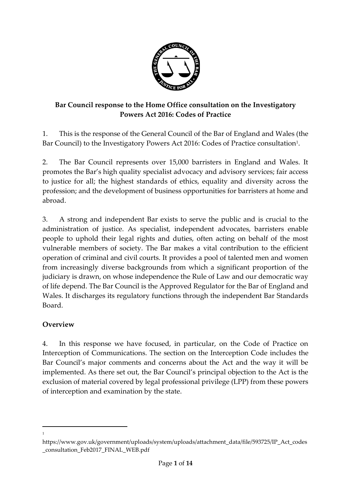

### **Bar Council response to the Home Office consultation on the Investigatory Powers Act 2016: Codes of Practice**

1. This is the response of the General Council of the Bar of England and Wales (the Bar Council) to the Investigatory Powers Act 2016: Codes of Practice consultation<sup>1</sup>.

2. The Bar Council represents over 15,000 barristers in England and Wales. It promotes the Bar's high quality specialist advocacy and advisory services; fair access to justice for all; the highest standards of ethics, equality and diversity across the profession; and the development of business opportunities for barristers at home and abroad.

3. A strong and independent Bar exists to serve the public and is crucial to the administration of justice. As specialist, independent advocates, barristers enable people to uphold their legal rights and duties, often acting on behalf of the most vulnerable members of society. The Bar makes a vital contribution to the efficient operation of criminal and civil courts. It provides a pool of talented men and women from increasingly diverse backgrounds from which a significant proportion of the judiciary is drawn, on whose independence the Rule of Law and our democratic way of life depend. The Bar Council is the Approved Regulator for the Bar of England and Wales. It discharges its regulatory functions through the independent Bar Standards Board.

# **Overview**

 $\overline{a}$ 1

4. In this response we have focused, in particular, on the Code of Practice on Interception of Communications. The section on the Interception Code includes the Bar Council's major comments and concerns about the Act and the way it will be implemented. As there set out, the Bar Council's principal objection to the Act is the exclusion of material covered by legal professional privilege (LPP) from these powers of interception and examination by the state.

https://www.gov.uk/government/uploads/system/uploads/attachment\_data/file/593725/IP\_Act\_codes \_consultation\_Feb2017\_FINAL\_WEB.pdf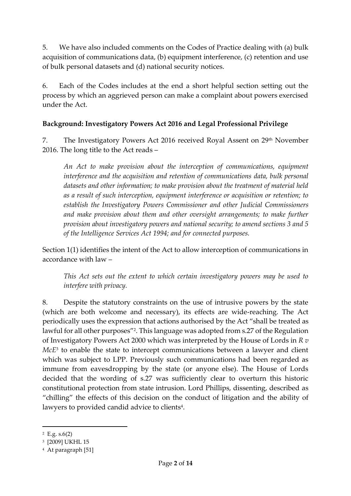5. We have also included comments on the Codes of Practice dealing with (a) bulk acquisition of communications data, (b) equipment interference, (c) retention and use of bulk personal datasets and (d) national security notices.

6. Each of the Codes includes at the end a short helpful section setting out the process by which an aggrieved person can make a complaint about powers exercised under the Act.

### **Background: Investigatory Powers Act 2016 and Legal Professional Privilege**

7. The Investigatory Powers Act 2016 received Royal Assent on 29<sup>th</sup> November 2016. The long title to the Act reads –

*An Act to make provision about the interception of communications, equipment interference and the acquisition and retention of communications data, bulk personal datasets and other information; to make provision about the treatment of material held as a result of such interception, equipment interference or acquisition or retention; to establish the Investigatory Powers Commissioner and other Judicial Commissioners*  and make provision about them and other oversight arrangements; to make further *provision about investigatory powers and national security; to amend sections 3 and 5 of the Intelligence Services Act 1994; and for connected purposes.*

Section 1(1) identifies the intent of the Act to allow interception of communications in accordance with law –

*This Act sets out the extent to which certain investigatory powers may be used to interfere with privacy.*

8. Despite the statutory constraints on the use of intrusive powers by the state (which are both welcome and necessary), its effects are wide-reaching. The Act periodically uses the expression that actions authorised by the Act "shall be treated as lawful for all other purposes"<sup>2</sup>. This language was adopted from s.27 of the Regulation of Investigatory Powers Act 2000 which was interpreted by the House of Lords in *R v McE*<sup>3</sup> to enable the state to intercept communications between a lawyer and client which was subject to LPP. Previously such communications had been regarded as immune from eavesdropping by the state (or anyone else). The House of Lords decided that the wording of s.27 was sufficiently clear to overturn this historic constitutional protection from state intrusion. Lord Phillips, dissenting, described as "chilling" the effects of this decision on the conduct of litigation and the ability of lawyers to provided candid advice to clients $\rm ^4$ .

<sup>2</sup> E.g. s.6(2)

<sup>3</sup> [2009] UKHL 15

<sup>4</sup> At paragraph [51]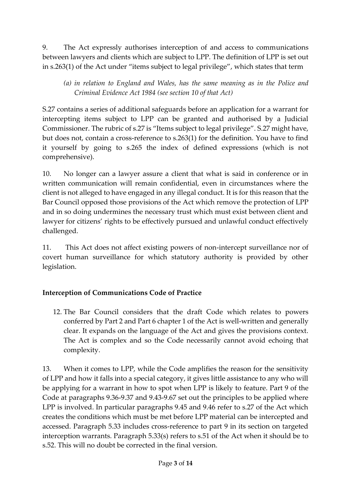9. The Act expressly authorises interception of and access to communications between lawyers and clients which are subject to LPP. The definition of LPP is set out in s.263(1) of the Act under "items subject to legal privilege", which states that term

*(a) in relation to England and Wales, has the same meaning as in the Police and Criminal Evidence Act 1984 (see section 10 of that Act)*

S.27 contains a series of additional safeguards before an application for a warrant for intercepting items subject to LPP can be granted and authorised by a Judicial Commissioner. The rubric of s.27 is "Items subject to legal privilege". S.27 might have, but does not, contain a cross-reference to s.263(1) for the definition. You have to find it yourself by going to s.265 the index of defined expressions (which is not comprehensive).

10. No longer can a lawyer assure a client that what is said in conference or in written communication will remain confidential, even in circumstances where the client is not alleged to have engaged in any illegal conduct. It is for this reason that the Bar Council opposed those provisions of the Act which remove the protection of LPP and in so doing undermines the necessary trust which must exist between client and lawyer for citizens' rights to be effectively pursued and unlawful conduct effectively challenged.

11. This Act does not affect existing powers of non-intercept surveillance nor of covert human surveillance for which statutory authority is provided by other legislation.

# **Interception of Communications Code of Practice**

12. The Bar Council considers that the draft Code which relates to powers conferred by Part 2 and Part 6 chapter 1 of the Act is well-written and generally clear. It expands on the language of the Act and gives the provisions context. The Act is complex and so the Code necessarily cannot avoid echoing that complexity.

13. When it comes to LPP, while the Code amplifies the reason for the sensitivity of LPP and how it falls into a special category, it gives little assistance to any who will be applying for a warrant in how to spot when LPP is likely to feature. Part 9 of the Code at paragraphs 9.36-9.37 and 9.43-9.67 set out the principles to be applied where LPP is involved. In particular paragraphs 9.45 and 9.46 refer to s.27 of the Act which creates the conditions which must be met before LPP material can be intercepted and accessed. Paragraph 5.33 includes cross-reference to part 9 in its section on targeted interception warrants. Paragraph 5.33(s) refers to s.51 of the Act when it should be to s.52. This will no doubt be corrected in the final version.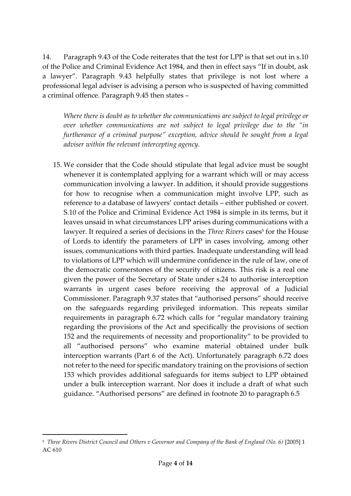14. Paragraph 9.43 of the Code reiterates that the test for LPP is that set out in s.10 of the Police and Criminal Evidence Act 1984, and then in effect says "If in doubt, ask a lawyer". Paragraph 9.43 helpfully states that privilege is not lost where a professional legal adviser is advising a person who is suspected of having committed a criminal offence. Paragraph 9.45 then states –

*Where there is doubt as to whether the communications are subject to legal privilege or over whether communications are not subject to legal privilege due to the "in furtherance of a criminal purpose" exception, advice should be sought from a legal adviser within the relevant intercepting agency.*

15. We consider that the Code should stipulate that legal advice must be sought whenever it is contemplated applying for a warrant which will or may access communication involving a lawyer. In addition, it should provide suggestions for how to recognise when a communication might involve LPP, such as reference to a database of lawyers' contact details – either published or covert. S.10 of the Police and Criminal Evidence Act 1984 is simple in its terms, but it leaves unsaid in what circumstances LPP arises during communications with a lawyer. It required a series of decisions in the *Three Rivers* cases<sup>5</sup> for the House of Lords to identify the parameters of LPP in cases involving, among other issues, communications with third parties. Inadequate understanding will lead to violations of LPP which will undermine confidence in the rule of law, one of the democratic cornerstones of the security of citizens. This risk is a real one given the power of the Secretary of State under s.24 to authorise interception warrants in urgent cases before receiving the approval of a Judicial Commissioner. Paragraph 9.37 states that "authorised persons" should receive on the safeguards regarding privileged information. This repeats similar requirements in paragraph 6.72 which calls for "regular mandatory training regarding the provisions of the Act and specifically the provisions of section 152 and the requirements of necessity and proportionality" to be provided to all "authorised persons" who examine material obtained under bulk interception warrants (Part 6 of the Act). Unfortunately paragraph 6.72 does not refer to the need for specific mandatory training on the provisions of section 153 which provides additional safeguards for items subject to LPP obtained under a bulk interception warrant. Nor does it include a draft of what such guidance. "Authorised persons" are defined in footnote 20 to paragraph 6.5

1

<sup>5</sup> *Three Rivers District Council and Others v Governor and Company of the Bank of England (No. 6)* [2005] 1 AC 610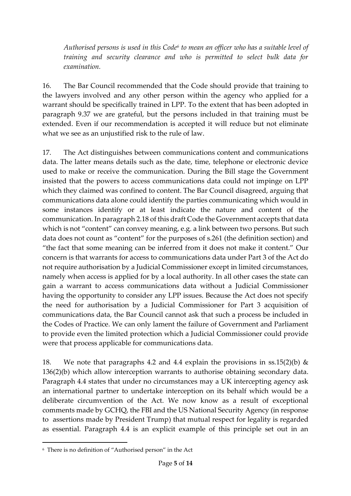*Authorised persons is used in this Code<sup>6</sup> to mean an officer who has a suitable level of training and security clearance and who is permitted to select bulk data for examination.*

16. The Bar Council recommended that the Code should provide that training to the lawyers involved and any other person within the agency who applied for a warrant should be specifically trained in LPP. To the extent that has been adopted in paragraph 9.37 we are grateful, but the persons included in that training must be extended. Even if our recommendation is accepted it will reduce but not eliminate what we see as an unjustified risk to the rule of law.

17. The Act distinguishes between communications content and communications data. The latter means details such as the date, time, telephone or electronic device used to make or receive the communication. During the Bill stage the Government insisted that the powers to access communications data could not impinge on LPP which they claimed was confined to content. The Bar Council disagreed, arguing that communications data alone could identify the parties communicating which would in some instances identify or at least indicate the nature and content of the communication. In paragraph 2.18 of this draft Code the Government accepts that data which is not "content" can convey meaning, e.g. a link between two persons. But such data does not count as "content" for the purposes of s.261 (the definition section) and "the fact that some meaning can be inferred from it does not make it content." Our concern is that warrants for access to communications data under Part 3 of the Act do not require authorisation by a Judicial Commissioner except in limited circumstances, namely when access is applied for by a local authority. In all other cases the state can gain a warrant to access communications data without a Judicial Commissioner having the opportunity to consider any LPP issues. Because the Act does not specify the need for authorisation by a Judicial Commissioner for Part 3 acquisition of communications data, the Bar Council cannot ask that such a process be included in the Codes of Practice. We can only lament the failure of Government and Parliament to provide even the limited protection which a Judicial Commissioner could provide were that process applicable for communications data.

18. We note that paragraphs 4.2 and 4.4 explain the provisions in ss.15(2)(b)  $\&$ 136(2)(b) which allow interception warrants to authorise obtaining secondary data. Paragraph 4.4 states that under no circumstances may a UK intercepting agency ask an international partner to undertake interception on its behalf which would be a deliberate circumvention of the Act. We now know as a result of exceptional comments made by GCHQ, the FBI and the US National Security Agency (in response to assertions made by President Trump) that mutual respect for legality is regarded as essential. Paragraph 4.4 is an explicit example of this principle set out in an

<sup>6</sup> There is no definition of "Authorised person" in the Act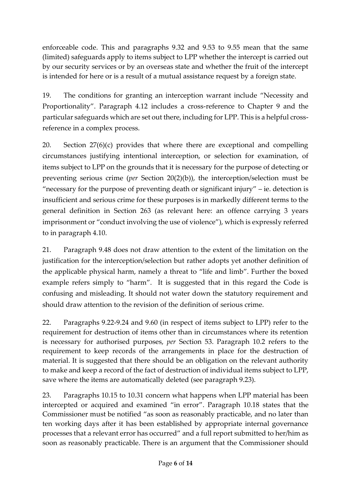enforceable code. This and paragraphs 9.32 and 9.53 to 9.55 mean that the same (limited) safeguards apply to items subject to LPP whether the intercept is carried out by our security services or by an overseas state and whether the fruit of the intercept is intended for here or is a result of a mutual assistance request by a foreign state.

19. The conditions for granting an interception warrant include "Necessity and Proportionality". Paragraph 4.12 includes a cross-reference to Chapter 9 and the particular safeguards which are set out there, including for LPP. This is a helpful crossreference in a complex process.

20. Section 27(6)(c) provides that where there are exceptional and compelling circumstances justifying intentional interception, or selection for examination, of items subject to LPP on the grounds that it is necessary for the purpose of detecting or preventing serious crime (*per* Section 20(2)(b)), the interception/selection must be "necessary for the purpose of preventing death or significant injury" – ie. detection is insufficient and serious crime for these purposes is in markedly different terms to the general definition in Section 263 (as relevant here: an offence carrying 3 years imprisonment or "conduct involving the use of violence"), which is expressly referred to in paragraph 4.10.

21. Paragraph 9.48 does not draw attention to the extent of the limitation on the justification for the interception/selection but rather adopts yet another definition of the applicable physical harm, namely a threat to "life and limb". Further the boxed example refers simply to "harm". It is suggested that in this regard the Code is confusing and misleading. It should not water down the statutory requirement and should draw attention to the revision of the definition of serious crime.

22. Paragraphs 9.22-9.24 and 9.60 (in respect of items subject to LPP) refer to the requirement for destruction of items other than in circumstances where its retention is necessary for authorised purposes, *per* Section 53. Paragraph 10.2 refers to the requirement to keep records of the arrangements in place for the destruction of material. It is suggested that there should be an obligation on the relevant authority to make and keep a record of the fact of destruction of individual items subject to LPP, save where the items are automatically deleted (see paragraph 9.23).

23. Paragraphs 10.15 to 10.31 concern what happens when LPP material has been intercepted or acquired and examined "in error". Paragraph 10.18 states that the Commissioner must be notified "as soon as reasonably practicable, and no later than ten working days after it has been established by appropriate internal governance processes that a relevant error has occurred" and a full report submitted to her/him as soon as reasonably practicable. There is an argument that the Commissioner should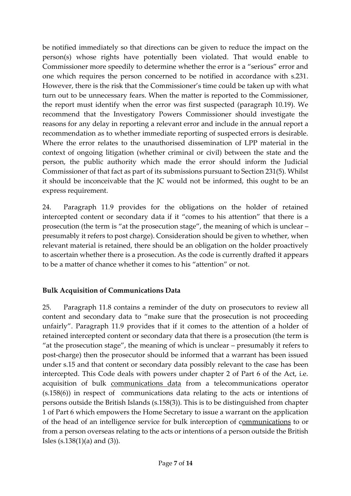be notified immediately so that directions can be given to reduce the impact on the person(s) whose rights have potentially been violated. That would enable to Commissioner more speedily to determine whether the error is a "serious" error and one which requires the person concerned to be notified in accordance with s.231. However, there is the risk that the Commissioner's time could be taken up with what turn out to be unnecessary fears. When the matter is reported to the Commissioner, the report must identify when the error was first suspected (paragraph 10.19). We recommend that the Investigatory Powers Commissioner should investigate the reasons for any delay in reporting a relevant error and include in the annual report a recommendation as to whether immediate reporting of suspected errors is desirable. Where the error relates to the unauthorised dissemination of LPP material in the context of ongoing litigation (whether criminal or civil) between the state and the person, the public authority which made the error should inform the Judicial Commissioner of that fact as part of its submissions pursuant to Section 231(5). Whilst it should be inconceivable that the JC would not be informed, this ought to be an express requirement.

24. Paragraph 11.9 provides for the obligations on the holder of retained intercepted content or secondary data if it "comes to his attention" that there is a prosecution (the term is "at the prosecution stage", the meaning of which is unclear – presumably it refers to post charge). Consideration should be given to whether, when relevant material is retained, there should be an obligation on the holder proactively to ascertain whether there is a prosecution. As the code is currently drafted it appears to be a matter of chance whether it comes to his "attention" or not.

#### **Bulk Acquisition of Communications Data**

25. Paragraph 11.8 contains a reminder of the duty on prosecutors to review all content and secondary data to "make sure that the prosecution is not proceeding unfairly". Paragraph 11.9 provides that if it comes to the attention of a holder of retained intercepted content or secondary data that there is a prosecution (the term is "at the prosecution stage", the meaning of which is unclear – presumably it refers to post-charge) then the prosecutor should be informed that a warrant has been issued under s.15 and that content or secondary data possibly relevant to the case has been intercepted. This Code deals with powers under chapter 2 of Part 6 of the Act, i.e. acquisition of bulk communications data from a telecommunications operator (s.158(6)) in respect of communications data relating to the acts or intentions of persons outside the British Islands (s.158(3)). This is to be distinguished from chapter 1 of Part 6 which empowers the Home Secretary to issue a warrant on the application of the head of an intelligence service for bulk interception of communications to or from a person overseas relating to the acts or intentions of a person outside the British Isles (s.138(1)(a) and (3)).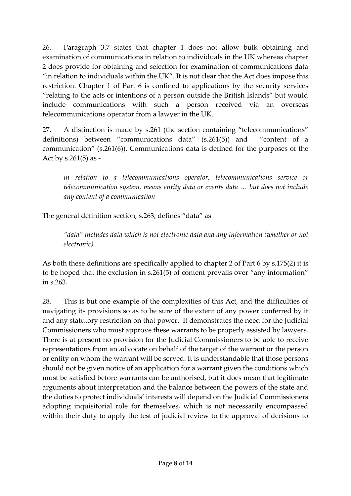26. Paragraph 3.7 states that chapter 1 does not allow bulk obtaining and examination of communications in relation to individuals in the UK whereas chapter 2 does provide for obtaining and selection for examination of communications data "in relation to individuals within the UK". It is not clear that the Act does impose this restriction. Chapter 1 of Part 6 is confined to applications by the security services "relating to the acts or intentions of a person outside the British Islands" but would include communications with such a person received via an overseas telecommunications operator from a lawyer in the UK.

27. A distinction is made by s.261 (the section containing "telecommunications" definitions) between "communications data" (s.261(5)) and "content of a communication" (s.261(6)). Communications data is defined for the purposes of the Act by s.261(5) as -

*in relation to a telecommunications operator, telecommunications service or telecommunication system, means entity data or events data … but does not include any content of a communication* 

The general definition section, s.263, defines "data" as

*"data" includes data which is not electronic data and any information (whether or not electronic)*

As both these definitions are specifically applied to chapter 2 of Part 6 by s.175(2) it is to be hoped that the exclusion in s.261(5) of content prevails over "any information" in s.263.

28. This is but one example of the complexities of this Act, and the difficulties of navigating its provisions so as to be sure of the extent of any power conferred by it and any statutory restriction on that power. It demonstrates the need for the Judicial Commissioners who must approve these warrants to be properly assisted by lawyers. There is at present no provision for the Judicial Commissioners to be able to receive representations from an advocate on behalf of the target of the warrant or the person or entity on whom the warrant will be served. It is understandable that those persons should not be given notice of an application for a warrant given the conditions which must be satisfied before warrants can be authorised, but it does mean that legitimate arguments about interpretation and the balance between the powers of the state and the duties to protect individuals' interests will depend on the Judicial Commissioners adopting inquisitorial role for themselves, which is not necessarily encompassed within their duty to apply the test of judicial review to the approval of decisions to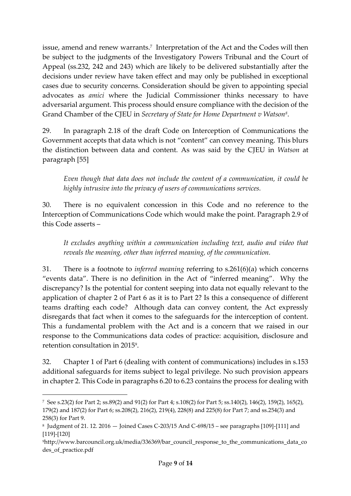issue, amend and renew warrants.<sup>7</sup> Interpretation of the Act and the Codes will then be subject to the judgments of the Investigatory Powers Tribunal and the Court of Appeal (ss.232, 242 and 243) which are likely to be delivered substantially after the decisions under review have taken effect and may only be published in exceptional cases due to security concerns. Consideration should be given to appointing special advocates as *amici* where the Judicial Commissioner thinks necessary to have adversarial argument. This process should ensure compliance with the decision of the Grand Chamber of the CJEU in *Secretary of State for Home Department v Watson<sup>8</sup>* .

29. In paragraph 2.18 of the draft Code on Interception of Communications the Government accepts that data which is not "content" can convey meaning. This blurs the distinction between data and content. As was said by the CJEU in *Watson* at paragraph [55]

*Even though that data does not include the content of a communication, it could be highly intrusive into the privacy of users of communications services.*

30. There is no equivalent concession in this Code and no reference to the Interception of Communications Code which would make the point. Paragraph 2.9 of this Code asserts –

*It excludes anything within a communication including text, audio and video that reveals the meaning, other than inferred meaning, of the communication.*

31. There is a footnote to *inferred meaning* referring to s.261(6)(a) which concerns "events data". There is no definition in the Act of "inferred meaning". Why the discrepancy? Is the potential for content seeping into data not equally relevant to the application of chapter 2 of Part 6 as it is to Part 2? Is this a consequence of different teams drafting each code? Although data can convey content, the Act expressly disregards that fact when it comes to the safeguards for the interception of content. This a fundamental problem with the Act and is a concern that we raised in our response to the Communications data codes of practice: acquisition, disclosure and retention consultation in 2015<sup>9</sup> .

32. Chapter 1 of Part 6 (dealing with content of communications) includes in s.153 additional safeguards for items subject to legal privilege. No such provision appears in chapter 2. This Code in paragraphs 6.20 to 6.23 contains the process for dealing with

<sup>7</sup> See s.23(2) for Part 2; ss.89(2) and 91(2) for Part 4; s.108(2) for Part 5; ss.140(2), 146(2), 159(2), 165(2), 179(2) and 187(2) for Part 6; ss.208(2), 216(2), 219(4), 228(8) and 225(8) for Part 7; and ss.254(3) and 258(3) for Part 9.

<sup>8</sup> Judgment of 21. 12. 2016 — Joined Cases C-203/15 And C-698/15 – see paragraphs [109]-[111] and [119]-[120]

<sup>&</sup>lt;sup>9</sup>http://www.barcouncil.org.uk/media/336369/bar\_council\_response\_to\_the\_communications\_data\_co des of practice.pdf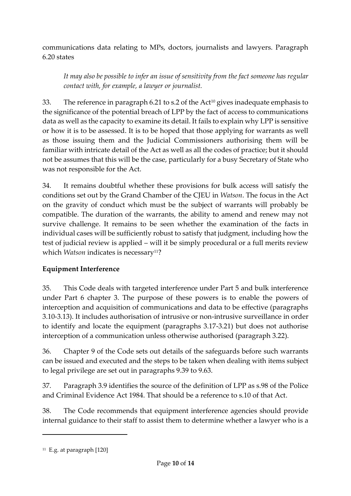communications data relating to MPs, doctors, journalists and lawyers. Paragraph 6.20 states

*It may also be possible to infer an issue of sensitivity from the fact someone has regular contact with, for example, a lawyer or journalist.*

33. The reference in paragraph 6.21 to s.2 of the Act<sup>10</sup> gives inadequate emphasis to the significance of the potential breach of LPP by the fact of access to communications data as well as the capacity to examine its detail. It fails to explain why LPP is sensitive or how it is to be assessed. It is to be hoped that those applying for warrants as well as those issuing them and the Judicial Commissioners authorising them will be familiar with intricate detail of the Act as well as all the codes of practice; but it should not be assumes that this will be the case, particularly for a busy Secretary of State who was not responsible for the Act.

34. It remains doubtful whether these provisions for bulk access will satisfy the conditions set out by the Grand Chamber of the CJEU in *Watson*. The focus in the Act on the gravity of conduct which must be the subject of warrants will probably be compatible. The duration of the warrants, the ability to amend and renew may not survive challenge. It remains to be seen whether the examination of the facts in individual cases will be sufficiently robust to satisfy that judgment, including how the test of judicial review is applied – will it be simply procedural or a full merits review which *Watson* indicates is necessary<sup>11</sup>?

# **Equipment Interference**

35. This Code deals with targeted interference under Part 5 and bulk interference under Part 6 chapter 3. The purpose of these powers is to enable the powers of interception and acquisition of communications and data to be effective (paragraphs 3.10-3.13). It includes authorisation of intrusive or non-intrusive surveillance in order to identify and locate the equipment (paragraphs 3.17-3.21) but does not authorise interception of a communication unless otherwise authorised (paragraph 3.22).

36. Chapter 9 of the Code sets out details of the safeguards before such warrants can be issued and executed and the steps to be taken when dealing with items subject to legal privilege are set out in paragraphs 9.39 to 9.63.

37. Paragraph 3.9 identifies the source of the definition of LPP as s.98 of the Police and Criminal Evidence Act 1984. That should be a reference to s.10 of that Act.

38. The Code recommends that equipment interference agencies should provide internal guidance to their staff to assist them to determine whether a lawyer who is a

1

<sup>11</sup> E.g. at paragraph [120]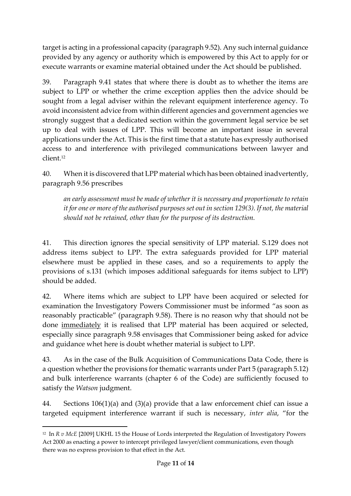target is acting in a professional capacity (paragraph 9.52). Any such internal guidance provided by any agency or authority which is empowered by this Act to apply for or execute warrants or examine material obtained under the Act should be published.

39. Paragraph 9.41 states that where there is doubt as to whether the items are subject to LPP or whether the crime exception applies then the advice should be sought from a legal adviser within the relevant equipment interference agency. To avoid inconsistent advice from within different agencies and government agencies we strongly suggest that a dedicated section within the government legal service be set up to deal with issues of LPP. This will become an important issue in several applications under the Act. This is the first time that a statute has expressly authorised access to and interference with privileged communications between lawyer and client.<sup>12</sup>

40. When it is discovered that LPP material which has been obtained inadvertently, paragraph 9.56 prescribes

*an early assessment must be made of whether it is necessary and proportionate to retain it for one or more of the authorised purposes set out in section 129(3). If not, the material should not be retained, other than for the purpose of its destruction.*

41. This direction ignores the special sensitivity of LPP material. S.129 does not address items subject to LPP. The extra safeguards provided for LPP material elsewhere must be applied in these cases, and so a requirements to apply the provisions of s.131 (which imposes additional safeguards for items subject to LPP) should be added.

42. Where items which are subject to LPP have been acquired or selected for examination the Investigatory Powers Commissioner must be informed "as soon as reasonably practicable" (paragraph 9.58). There is no reason why that should not be done immediately it is realised that LPP material has been acquired or selected, especially since paragraph 9.58 envisages that Commissioner being asked for advice and guidance whet here is doubt whether material is subject to LPP.

43. As in the case of the Bulk Acquisition of Communications Data Code, there is a question whether the provisions for thematic warrants under Part 5 (paragraph 5.12) and bulk interference warrants (chapter 6 of the Code) are sufficiently focused to satisfy the *Watson* judgment.

44. Sections 106(1)(a) and (3)(a) provide that a law enforcement chief can issue a targeted equipment interference warrant if such is necessary, *inter alia*, "for the

<sup>&</sup>lt;sup>12</sup> In *R v McE* [2009] UKHL 15 the House of Lords interpreted the Regulation of Investigatory Powers Act 2000 as enacting a power to intercept privileged lawyer/client communications, even though there was no express provision to that effect in the Act.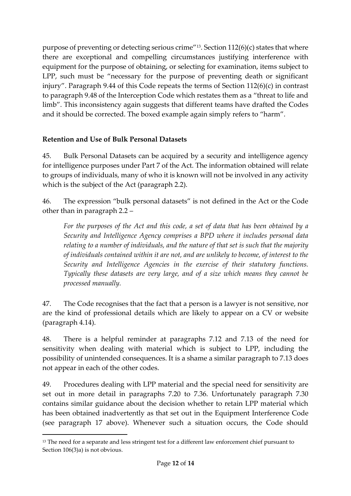purpose of preventing or detecting serious crime"13. Section 112(6)(c) states that where there are exceptional and compelling circumstances justifying interference with equipment for the purpose of obtaining, or selecting for examination, items subject to LPP, such must be "necessary for the purpose of preventing death or significant injury". Paragraph 9.44 of this Code repeats the terms of Section 112(6)(c) in contrast to paragraph 9.48 of the Interception Code which restates them as a "threat to life and limb". This inconsistency again suggests that different teams have drafted the Codes and it should be corrected. The boxed example again simply refers to "harm".

### **Retention and Use of Bulk Personal Datasets**

45. Bulk Personal Datasets can be acquired by a security and intelligence agency for intelligence purposes under Part 7 of the Act. The information obtained will relate to groups of individuals, many of who it is known will not be involved in any activity which is the subject of the Act (paragraph 2.2).

46. The expression "bulk personal datasets" is not defined in the Act or the Code other than in paragraph 2.2 –

*For the purposes of the Act and this code, a set of data that has been obtained by a Security and Intelligence Agency comprises a BPD where it includes personal data relating to a number of individuals, and the nature of that set is such that the majority of individuals contained within it are not, and are unlikely to become, of interest to the Security and Intelligence Agencies in the exercise of their statutory functions. Typically these datasets are very large, and of a size which means they cannot be processed manually.*

47. The Code recognises that the fact that a person is a lawyer is not sensitive, nor are the kind of professional details which are likely to appear on a CV or website (paragraph 4.14).

48. There is a helpful reminder at paragraphs 7.12 and 7.13 of the need for sensitivity when dealing with material which is subject to LPP, including the possibility of unintended consequences. It is a shame a similar paragraph to 7.13 does not appear in each of the other codes.

49. Procedures dealing with LPP material and the special need for sensitivity are set out in more detail in paragraphs 7.20 to 7.36. Unfortunately paragraph 7.30 contains similar guidance about the decision whether to retain LPP material which has been obtained inadvertently as that set out in the Equipment Interference Code (see paragraph 17 above). Whenever such a situation occurs, the Code should

1

<sup>&</sup>lt;sup>13</sup> The need for a separate and less stringent test for a different law enforcement chief pursuant to Section 106(3)a) is not obvious.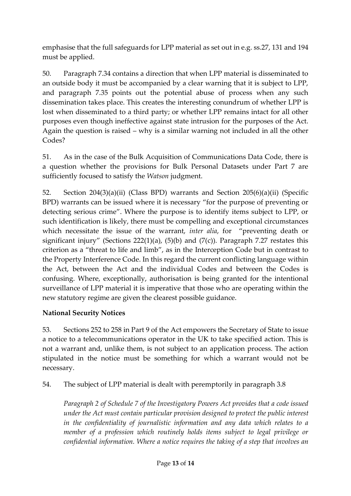emphasise that the full safeguards for LPP material as set out in e.g. ss.27, 131 and 194 must be applied.

50. Paragraph 7.34 contains a direction that when LPP material is disseminated to an outside body it must be accompanied by a clear warning that it is subject to LPP, and paragraph 7.35 points out the potential abuse of process when any such dissemination takes place. This creates the interesting conundrum of whether LPP is lost when disseminated to a third party; or whether LPP remains intact for all other purposes even though ineffective against state intrusion for the purposes of the Act. Again the question is raised – why is a similar warning not included in all the other Codes?

51. As in the case of the Bulk Acquisition of Communications Data Code, there is a question whether the provisions for Bulk Personal Datasets under Part 7 are sufficiently focused to satisfy the *Watson* judgment.

52. Section 204(3)(a)(ii) (Class BPD) warrants and Section 205(6)(a)(ii) (Specific BPD) warrants can be issued where it is necessary "for the purpose of preventing or detecting serious crime". Where the purpose is to identify items subject to LPP, or such identification is likely, there must be compelling and exceptional circumstances which necessitate the issue of the warrant, *inter alia*, for "preventing death or significant injury" (Sections 222(1)(a), (5)(b) and (7(c)). Paragraph 7.27 restates this criterion as a "threat to life and limb", as in the Interception Code but in contrast to the Property Interference Code. In this regard the current conflicting language within the Act, between the Act and the individual Codes and between the Codes is confusing. Where, exceptionally, authorisation is being granted for the intentional surveillance of LPP material it is imperative that those who are operating within the new statutory regime are given the clearest possible guidance.

#### **National Security Notices**

53. Sections 252 to 258 in Part 9 of the Act empowers the Secretary of State to issue a notice to a telecommunications operator in the UK to take specified action. This is not a warrant and, unlike them, is not subject to an application process. The action stipulated in the notice must be something for which a warrant would not be necessary.

54. The subject of LPP material is dealt with peremptorily in paragraph 3.8

*Paragraph 2 of Schedule 7 of the Investigatory Powers Act provides that a code issued under the Act must contain particular provision designed to protect the public interest in the confidentiality of journalistic information and any data which relates to a member of a profession which routinely holds items subject to legal privilege or confidential information. Where a notice requires the taking of a step that involves an*